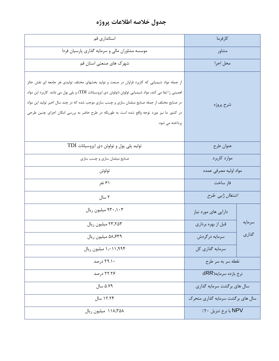## **جدول خالصه اطالعات پروژه**

| استانداری قم                                                                                                                                                                                                                                                                                                                                                                                                                  | كارفرما                          |         |
|-------------------------------------------------------------------------------------------------------------------------------------------------------------------------------------------------------------------------------------------------------------------------------------------------------------------------------------------------------------------------------------------------------------------------------|----------------------------------|---------|
| موسسه مشاوران مالی و سرمایه گذاری پارسیان فردا                                                                                                                                                                                                                                                                                                                                                                                | مشاور                            |         |
| شهرک های صنعتی استان قم                                                                                                                                                                                                                                                                                                                                                                                                       | محل اجرا                         |         |
| از جمله مواد شیمیایی که کاربرد فراوان در صنعت و تولید بخشهای مختلف تولیدی هر جامعه ای نقش حائز<br>اهمیتی را ایفا می کند، مواد شیمیایی تولوئن (تولوئن دی ایزوسیانات TDI) و پلی یول می باشد. کاربرد این مواد<br>در صنایع مختلف از جمله صنایع مبلمان سازی و چسب سازی موجب شده که در چند سال اخیر تولید این مواد<br>در کشور ما نیز مورد توجه واقع شده است به طوریکه در طرح حاضر به بررسی امکان اجرای چنین طرحی<br>پرداخته می شود. | شرح پروژه                        |         |
| تولید پلی یول و تولوئن دی ایزوسیانات TDI                                                                                                                                                                                                                                                                                                                                                                                      | عنوان طرح                        |         |
| صنایع مبلمان سازی و چسب سازی                                                                                                                                                                                                                                                                                                                                                                                                  | موارد کاربرد                     |         |
| تولوئن                                                                                                                                                                                                                                                                                                                                                                                                                        | مواد اوليه مصرفى عمده            |         |
| ۶۱ نفر                                                                                                                                                                                                                                                                                                                                                                                                                        | فاز ساخت                         |         |
| ۲ سال                                                                                                                                                                                                                                                                                                                                                                                                                         | اشتغال زایبی طرح                 |         |
| ۹۳۰,۱۰۳ میلیون ریال                                                                                                                                                                                                                                                                                                                                                                                                           | دارایی های مورد نیاز             |         |
| ۲۳٫۲۵۳ میلیون ریال                                                                                                                                                                                                                                                                                                                                                                                                            | قبل از بهره برداري               | سر مایه |
| ۵۸٬۶۳۹ میلیون ریال                                                                                                                                                                                                                                                                                                                                                                                                            | سرمایه درگردش                    | گذاری   |
| ۱٬۰۱۱٬۹۹۴ میلیون ریال                                                                                                                                                                                                                                                                                                                                                                                                         | سرمایه گذاری کل                  |         |
| ۲۹.۱۰ درصد                                                                                                                                                                                                                                                                                                                                                                                                                    | نقطه سربه سر طرح                 |         |
| ۲۲.۲۶ درصد                                                                                                                                                                                                                                                                                                                                                                                                                    | نرخ بازده سرمايه(IRR)            |         |
| ۵.۷۹ سال                                                                                                                                                                                                                                                                                                                                                                                                                      | سال های برگشت سرمایه گذاری       |         |
| ۱۲.۲۴ سال                                                                                                                                                                                                                                                                                                                                                                                                                     | سال های برگشت سرمایه گذاری متحرک |         |
| ١١٨,٣۵٨ ميليون ريال                                                                                                                                                                                                                                                                                                                                                                                                           | NPV با نرخ تنزيل ٢٠٪             |         |